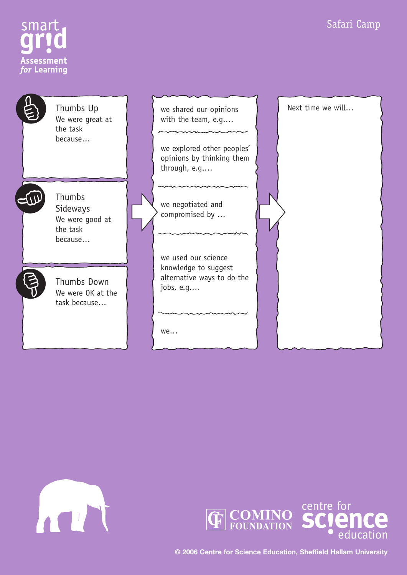









**© 2006 Centre for Science Education, Sheffield Hallam University**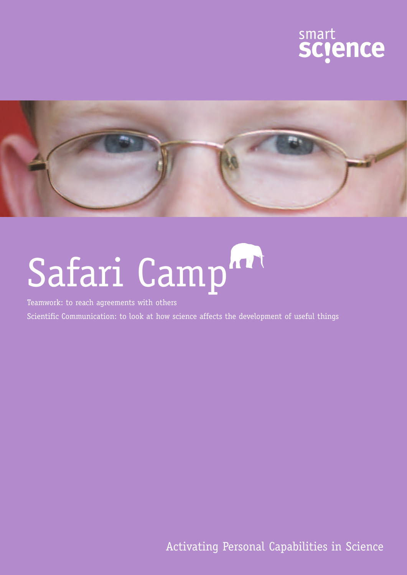



# Safari Camp<sup>hart</sup>

Teamwork: to reach agreements with others

Scientific Communication: to look at how science affects the development of useful things

Activating Personal Capabilities in Science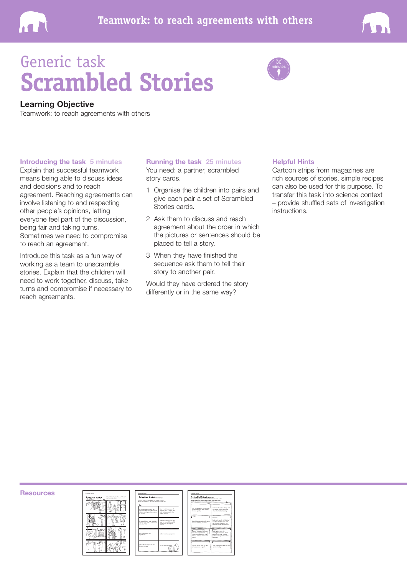



### Generic task **Scrambled Stories**



#### **Learning Objective**

Teamwork: to reach agreements with others

#### **Introducing the task 5 minutes**

Explain that successful teamwork means being able to discuss ideas and decisions and to reach agreement. Reaching agreements can involve listening to and respecting other people's opinions, letting everyone feel part of the discussion, being fair and taking turns. Sometimes we need to compromise to reach an agreement.

Introduce this task as a fun way of working as a team to unscramble stories. Explain that the children will need to work together, discuss, take turns and compromise if necessary to reach agreements.

#### **Running the task 25 minutes**

You need: a partner, scrambled story cards.

- 1 Organise the children into pairs and give each pair a set of Scrambled Stories cards.
- 2 Ask them to discuss and reach agreement about the order in which the pictures or sentences should be placed to tell a story.
- 3 When they have finished the sequence ask them to tell their story to another pair.

Would they have ordered the story differently or in the same way?

#### **Helpful Hints**

Cartoon strips from magazines are rich sources of stories, simple recipes can also be used for this purpose. To transfer this task into science context – provide shuffled sets of investigation instructions.

**Resources**





| Sctambled Stories manuscript<br>This synaptical stary describes a submur-investigation to answer the approxima-                               |                                                                                                                                |
|-----------------------------------------------------------------------------------------------------------------------------------------------|--------------------------------------------------------------------------------------------------------------------------------|
| To daily large station dry more public than my unall station on our<br>applies that Counselor the investigation incl.                         |                                                                                                                                |
| Look at the oattern on the goob.<br>ta decide whether dad's clother.<br>dry more quickly.                                                     | Compare the colour of dry and<br>wet gaper to help work out<br>when the 'clothes' are dry.                                     |
|                                                                                                                                               |                                                                                                                                |
| Record the drying time for each<br>plece of clathing in a table.                                                                              | Seak each sample of 'clothing'<br>in a tray of water until it is<br>wet through. Hang the wet<br>upplies on the washing line.  |
|                                                                                                                                               |                                                                                                                                |
| Cut out 'clother' of different<br>dzes from paper towels, e.g.<br>clather with a corbon was of<br>100cm', 150cm', 200cm' and<br><b>DS/MWF</b> | Look back at how the<br>Investigation worked, Think<br>about things that you did<br>well and things that could be<br>Improved. |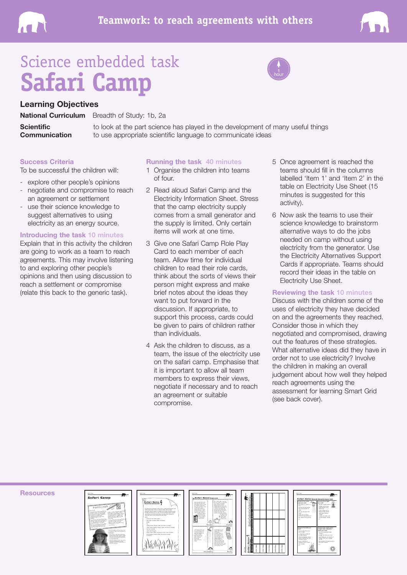



### Science embedded task **Safari Camp**



#### **Learning Objectives**

**Scientific Communication** 

**National Curriculum** Breadth of Study: 1b, 2a

to look at the part science has played in the development of many useful things to use appropriate scientific language to communicate ideas

#### **Success Criteria**

To be successful the children will:

- explore other people's opinions
- negotiate and compromise to reach an agreement or settlement
- use their science knowledge to suggest alternatives to using electricity as an energy source.

#### **Introducing the task 10 minutes**

Explain that in this activity the children are going to work as a team to reach agreements. This may involve listening to and exploring other people's opinions and then using discussion to reach a settlement or compromise (relate this back to the generic task).

#### **Running the task 40 minutes**

- 1 Organise the children into teams of four.
- 2 Read aloud Safari Camp and the Electricity Information Sheet. Stress that the camp electricity supply comes from a small generator and the supply is limited. Only certain items will work at one time.
- 3 Give one Safari Camp Role Play Card to each member of each team. Allow time for individual children to read their role cards, think about the sorts of views their person might express and make brief notes about the ideas they want to put forward in the discussion. If appropriate, to support this process, cards could be given to pairs of children rather than individuals.
- 4 Ask the children to discuss, as a team, the issue of the electricity use on the safari camp. Emphasise that it is important to allow all team members to express their views, negotiate if necessary and to reach an agreement or suitable compromise.
- 5 Once agreement is reached the teams should fill in the columns labelled 'Item 1' and 'Item 2' in the table on Electricity Use Sheet (15 minutes is suggested for this activity).
- 6 Now ask the teams to use their science knowledge to brainstorm alternative ways to do the jobs needed on camp without using electricity from the generator. Use the Electricity Alternatives Support Cards if appropriate. Teams should record their ideas in the table on Electricity Use Sheet.

#### **Reviewing the task 10 minutes**

Discuss with the children some of the uses of electricity they have decided on and the agreements they reached. Consider those in which they negotiated and compromised, drawing out the features of these strategies. What alternative ideas did they have in order not to use electricity? Involve the children in making an overall judgement about how well they helped reach agreements using the assessment for learning Smart Grid (see back cover).

**Resources**









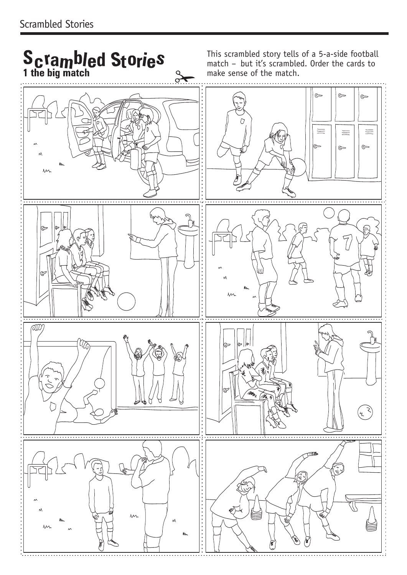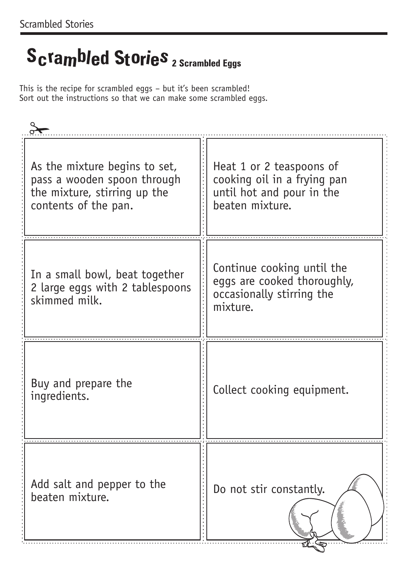# Scrambled Stories 2 Scrambled Eggs

This is the recipe for scrambled eggs – but it's been scrambled! Sort out the instructions so that we can make some scrambled eggs.

| As the mixture begins to set,<br>pass a wooden spoon through<br>the mixture, stirring up the<br>contents of the pan. | Heat 1 or 2 teaspoons of<br>cooking oil in a frying pan<br>until hot and pour in the<br>beaten mixture. |
|----------------------------------------------------------------------------------------------------------------------|---------------------------------------------------------------------------------------------------------|
| In a small bowl, beat together<br>2 large eggs with 2 tablespoons<br>skimmed milk.                                   | Continue cooking until the<br>eggs are cooked thoroughly,<br>occasionally stirring the<br>mixture.      |
| Buy and prepare the<br>ingredients.                                                                                  | Collect cooking equipment.                                                                              |
| Add salt and pepper to the<br>beaten mixture.                                                                        | Do not stir constantly.                                                                                 |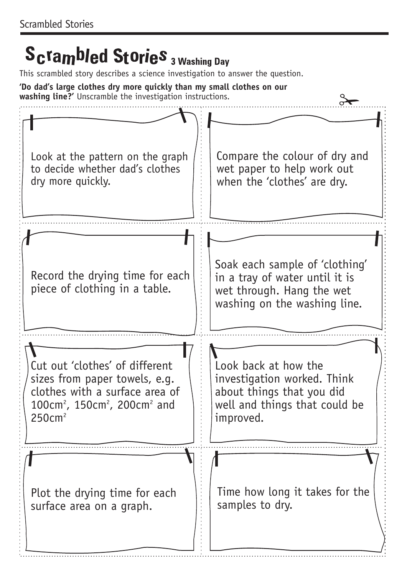## **Scrambled Stories** 3 Washing Day

This scrambled story describes a science investigation to answer the question.

**'Do dad's large clothes dry more quickly than my small clothes on our washing line?'** Unscramble the investigation instructions.

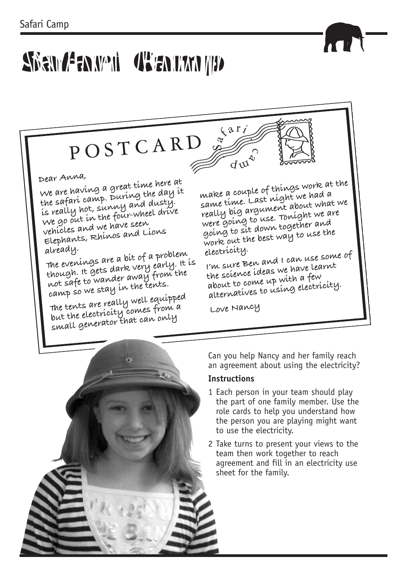# Shan Zanwi (Tanum 19)

P O S T C A R D

#### **Dear Anna,**

**We are having <sup>a</sup> great time here at the safari camp. During the day it is really hot, sunny and dusty. We go out in the four-wheel drive vehicles and we have seen Elephants, Rhinos and Lions already.**

**The evenings are <sup>a</sup> bit of <sup>a</sup> problem though. It gets dark very early. It is not safe to wander away from the camp so we stay in the tents.**

**The tents are really well equipped but the electricity comes from <sup>a</sup> small generator that can only**

**make <sup>a</sup> couple of things work at the same time. Last night we had <sup>a</sup> really big argument about what we were going to use. Tonight we are going to sit down together and work out the best way to use the electricity.**

**<sup>I</sup>'m sure Ben and <sup>I</sup> can use some of the science ideas we have learnt about to come up with <sup>a</sup> few alternatives to using electricity.**

**Love Nancy**

 $\sqrt{\frac{2r_i}{r_i}}$ 

 $\overline{d} \mathfrak{A}^{\mathfrak{A}}$ 



Can you help Nancy and her family reach an agreement about using the electricity?

#### **Instructions**

- 1 Each person in your team should play the part of one family member. Use the role cards to help you understand how the person you are playing might want to use the electricity.
- 2 Take turns to present your views to the team then work together to reach agreement and fill in an electricity use sheet for the family.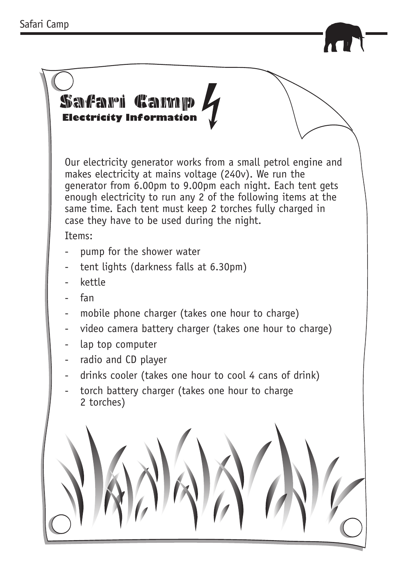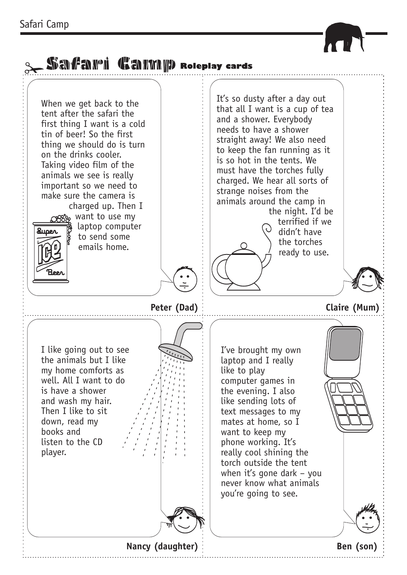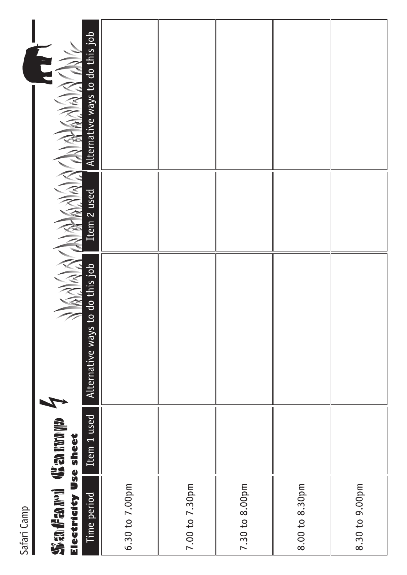| Safari Camp                                                       |             |                                    |             |                                 |
|-------------------------------------------------------------------|-------------|------------------------------------|-------------|---------------------------------|
| <b>Single Marie County Indian Single</b><br>Electricity Use sheet |             | A AARA                             |             |                                 |
| Time period                                                       | Item 1 used | to do this job<br>Alternative ways | Item 2 used | Alternative ways to do this job |
| 6.30 to 7.00pm                                                    |             |                                    |             |                                 |
| 7.00 to 7.30pm                                                    |             |                                    |             |                                 |
| 7.30 to 8.00pm                                                    |             |                                    |             |                                 |
| 8.00 to 8.30pm                                                    |             |                                    |             |                                 |
| 8.30 to 9.00pm                                                    |             |                                    |             |                                 |